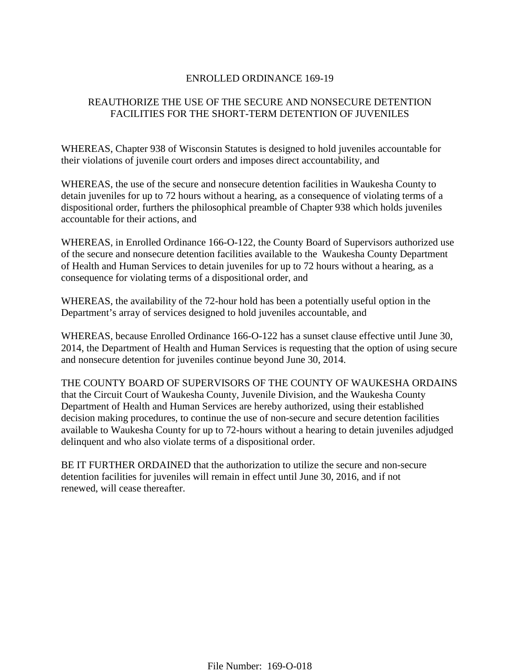## ENROLLED ORDINANCE 169-19

# REAUTHORIZE THE USE OF THE SECURE AND NONSECURE DETENTION FACILITIES FOR THE SHORT-TERM DETENTION OF JUVENILES

WHEREAS, Chapter 938 of Wisconsin Statutes is designed to hold juveniles accountable for their violations of juvenile court orders and imposes direct accountability, and

WHEREAS, the use of the secure and nonsecure detention facilities in Waukesha County to detain juveniles for up to 72 hours without a hearing, as a consequence of violating terms of a dispositional order, furthers the philosophical preamble of Chapter 938 which holds juveniles accountable for their actions, and

WHEREAS, in Enrolled Ordinance 166-O-122, the County Board of Supervisors authorized use of the secure and nonsecure detention facilities available to the Waukesha County Department of Health and Human Services to detain juveniles for up to 72 hours without a hearing, as a consequence for violating terms of a dispositional order, and

WHEREAS, the availability of the 72-hour hold has been a potentially useful option in the Department's array of services designed to hold juveniles accountable, and

WHEREAS, because Enrolled Ordinance 166-O-122 has a sunset clause effective until June 30, 2014, the Department of Health and Human Services is requesting that the option of using secure and nonsecure detention for juveniles continue beyond June 30, 2014.

THE COUNTY BOARD OF SUPERVISORS OF THE COUNTY OF WAUKESHA ORDAINS that the Circuit Court of Waukesha County, Juvenile Division, and the Waukesha County Department of Health and Human Services are hereby authorized, using their established decision making procedures, to continue the use of non-secure and secure detention facilities available to Waukesha County for up to 72-hours without a hearing to detain juveniles adjudged delinquent and who also violate terms of a dispositional order.

BE IT FURTHER ORDAINED that the authorization to utilize the secure and non-secure detention facilities for juveniles will remain in effect until June 30, 2016, and if not renewed, will cease thereafter.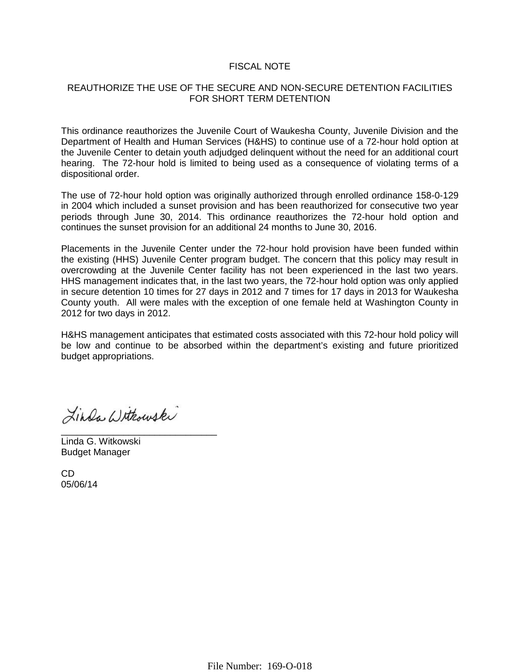#### FISCAL NOTE

#### REAUTHORIZE THE USE OF THE SECURE AND NON-SECURE DETENTION FACILITIES FOR SHORT TERM DETENTION

This ordinance reauthorizes the Juvenile Court of Waukesha County, Juvenile Division and the Department of Health and Human Services (H&HS) to continue use of a 72-hour hold option at the Juvenile Center to detain youth adjudged delinquent without the need for an additional court hearing. The 72-hour hold is limited to being used as a consequence of violating terms of a dispositional order.

The use of 72-hour hold option was originally authorized through enrolled ordinance 158-0-129 in 2004 which included a sunset provision and has been reauthorized for consecutive two year periods through June 30, 2014. This ordinance reauthorizes the 72-hour hold option and continues the sunset provision for an additional 24 months to June 30, 2016.

Placements in the Juvenile Center under the 72-hour hold provision have been funded within the existing (HHS) Juvenile Center program budget. The concern that this policy may result in overcrowding at the Juvenile Center facility has not been experienced in the last two years. HHS management indicates that, in the last two years, the 72-hour hold option was only applied in secure detention 10 times for 27 days in 2012 and 7 times for 17 days in 2013 for Waukesha County youth. All were males with the exception of one female held at Washington County in 2012 for two days in 2012.

H&HS management anticipates that estimated costs associated with this 72-hour hold policy will be low and continue to be absorbed within the department's existing and future prioritized budget appropriations.

Linda Withouski

\_\_\_\_\_\_\_\_\_\_\_\_\_\_\_\_\_\_\_\_\_\_\_\_\_\_\_\_\_\_ Linda G. Witkowski Budget Manager

CD 05/06/14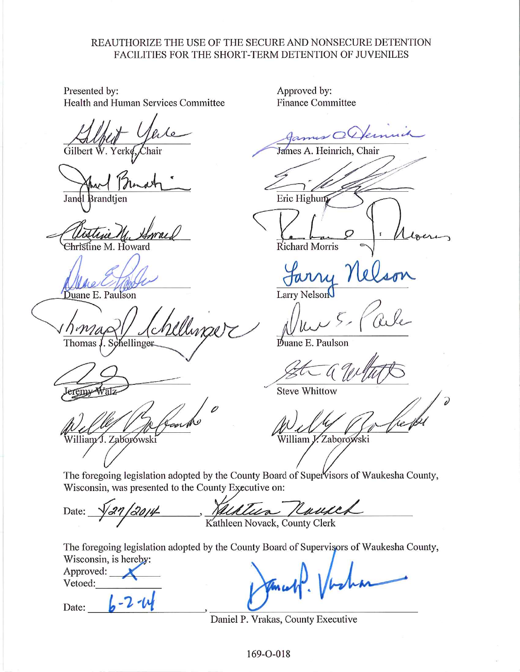## REAUTHORIZE THE USE OF THE SECURE AND NONSECURE DETENTION FACILITIES FOR THE SHORT-TERM DETENTION OF JUVENILES

Presented by: Health and Human Services Committee

Gilbert

Jandl 3randtien

<del>Christine</del> M. Howard

Duane E. Paulson

Chinaer Thomas, . Schellinger

Villiam J. Zaborówski

Approved by: **Finance Committee** 

James A. Heinrich, Chair

Eric Highun

**Richard Morris** 

Larry Nelson

Duane E. Paulson

**Steve Whittow** 

William V. Zaborowski

The foregoing legislation adopted by the County Board of Supervisors of Waukesha County, Wisconsin, was presented to the County Executive on:

ua Rause Date: Kathleen Novack, County Clerk

The foregoing legislation adopted by the County Board of Supervisors of Waukesha County, Wisconsin, is hereby:

Approved: Vetoed:

Date:

Daniel P. Vrakas, County Executive

169-O-018